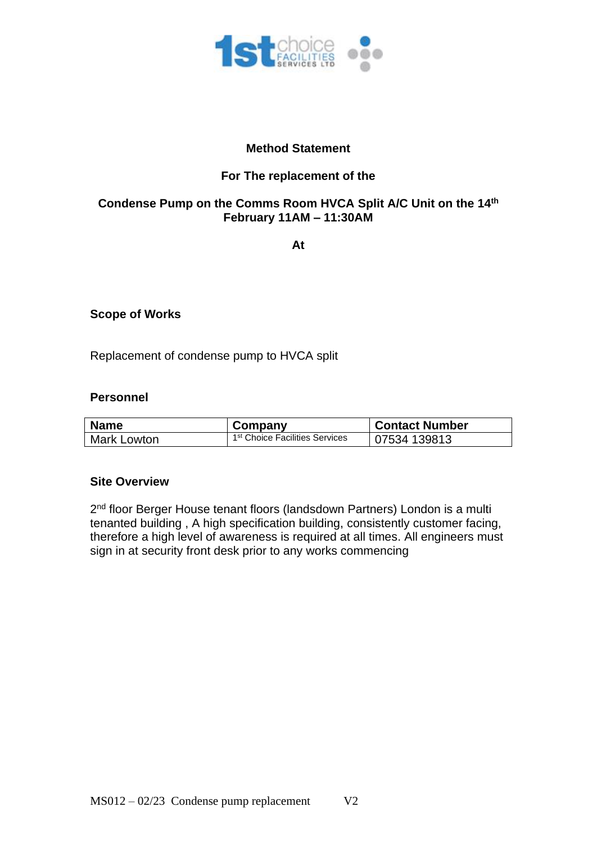

## **Method Statement**

# **For The replacement of the**

## **Condense Pump on the Comms Room HVCA Split A/C Unit on the 14th February 11AM – 11:30AM**

**At**

### **Scope of Works**

Replacement of condense pump to HVCA split

#### **Personnel**

| <b>Name</b>    | Company                                    | <b>Contact Number</b> |
|----------------|--------------------------------------------|-----------------------|
| l Mark Lowton. | 1 <sup>st</sup> Choice Facilities Services | 07534 139813          |

#### **Site Overview**

2<sup>nd</sup> floor Berger House tenant floors (landsdown Partners) London is a multi tenanted building , A high specification building, consistently customer facing, therefore a high level of awareness is required at all times. All engineers must sign in at security front desk prior to any works commencing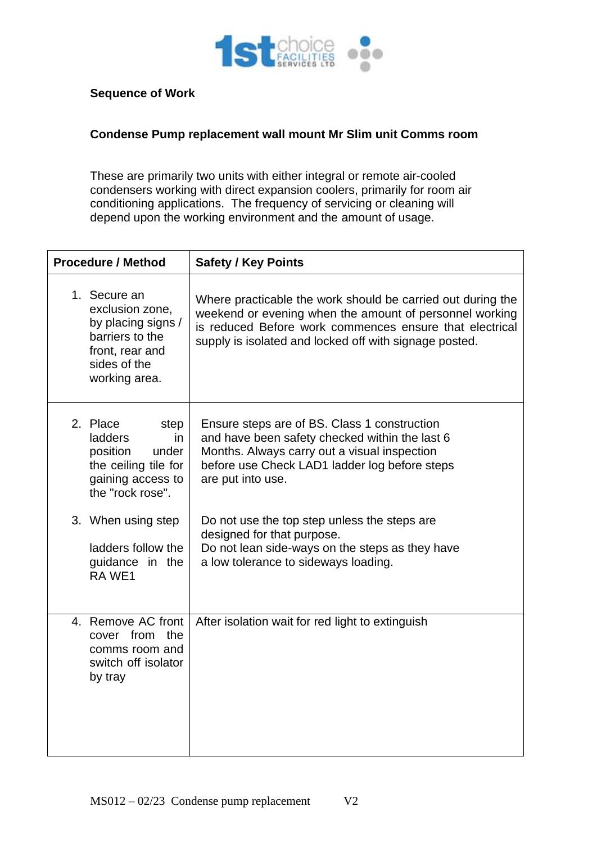

## **Sequence of Work**

## **Condense Pump replacement wall mount Mr Slim unit Comms room**

These are primarily two units with either integral or remote air-cooled condensers working with direct expansion coolers, primarily for room air conditioning applications. The frequency of servicing or cleaning will depend upon the working environment and the amount of usage.

| <b>Procedure / Method</b>                                                                                                    | <b>Safety / Key Points</b>                                                                                                                                                                                                                  |  |
|------------------------------------------------------------------------------------------------------------------------------|---------------------------------------------------------------------------------------------------------------------------------------------------------------------------------------------------------------------------------------------|--|
| 1. Secure an<br>exclusion zone,<br>by placing signs /<br>barriers to the<br>front, rear and<br>sides of the<br>working area. | Where practicable the work should be carried out during the<br>weekend or evening when the amount of personnel working<br>is reduced Before work commences ensure that electrical<br>supply is isolated and locked off with signage posted. |  |
| 2. Place<br>step<br>ladders<br>in<br>position<br>under<br>the ceiling tile for<br>gaining access to<br>the "rock rose".      | Ensure steps are of BS. Class 1 construction<br>and have been safety checked within the last 6<br>Months. Always carry out a visual inspection<br>before use Check LAD1 ladder log before steps<br>are put into use.                        |  |
| 3. When using step<br>ladders follow the<br>guidance in the<br>RA WE1                                                        | Do not use the top step unless the steps are<br>designed for that purpose.<br>Do not lean side-ways on the steps as they have<br>a low tolerance to sideways loading.                                                                       |  |
| 4. Remove AC front<br>cover from<br>the<br>comms room and<br>switch off isolator<br>by tray                                  | After isolation wait for red light to extinguish                                                                                                                                                                                            |  |